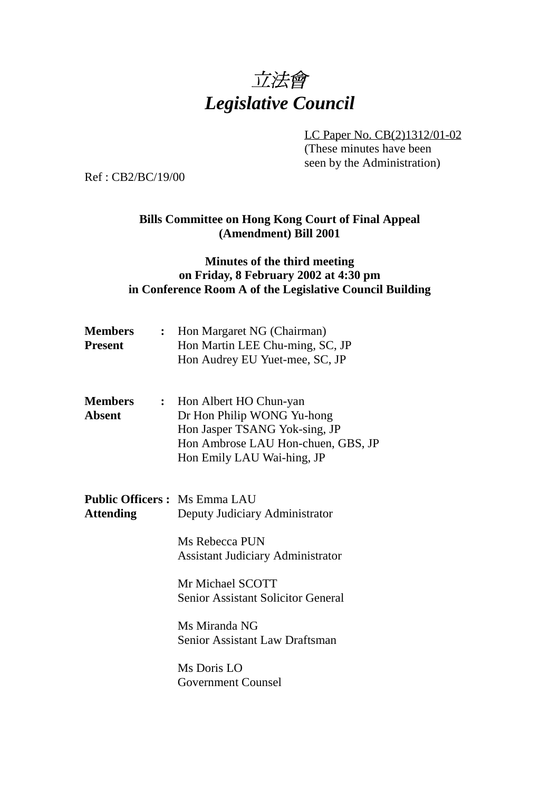

LC Paper No. CB(2)1312/01-02 (These minutes have been seen by the Administration)

Ref : CB2/BC/19/00

## **Bills Committee on Hong Kong Court of Final Appeal (Amendment) Bill 2001**

### **Minutes of the third meeting on Friday, 8 February 2002 at 4:30 pm in Conference Room A of the Legislative Council Building**

| <b>Members</b><br><b>Present</b>                        |                | : Hon Margaret NG (Chairman)<br>Hon Martin LEE Chu-ming, SC, JP<br>Hon Audrey EU Yuet-mee, SC, JP                                                         |  |  |
|---------------------------------------------------------|----------------|-----------------------------------------------------------------------------------------------------------------------------------------------------------|--|--|
| <b>Members</b><br><b>Absent</b>                         | $\ddot{\cdot}$ | Hon Albert HO Chun-yan<br>Dr Hon Philip WONG Yu-hong<br>Hon Jasper TSANG Yok-sing, JP<br>Hon Ambrose LAU Hon-chuen, GBS, JP<br>Hon Emily LAU Wai-hing, JP |  |  |
| <b>Public Officers: Ms Emma LAU</b><br><b>Attending</b> |                | Deputy Judiciary Administrator                                                                                                                            |  |  |
|                                                         |                | Ms Rebecca PUN<br><b>Assistant Judiciary Administrator</b>                                                                                                |  |  |
|                                                         |                | Mr Michael SCOTT<br><b>Senior Assistant Solicitor General</b>                                                                                             |  |  |
|                                                         |                | Ms Miranda NG<br>Senior Assistant Law Draftsman                                                                                                           |  |  |
|                                                         |                | Ms Doris LO<br><b>Government Counsel</b>                                                                                                                  |  |  |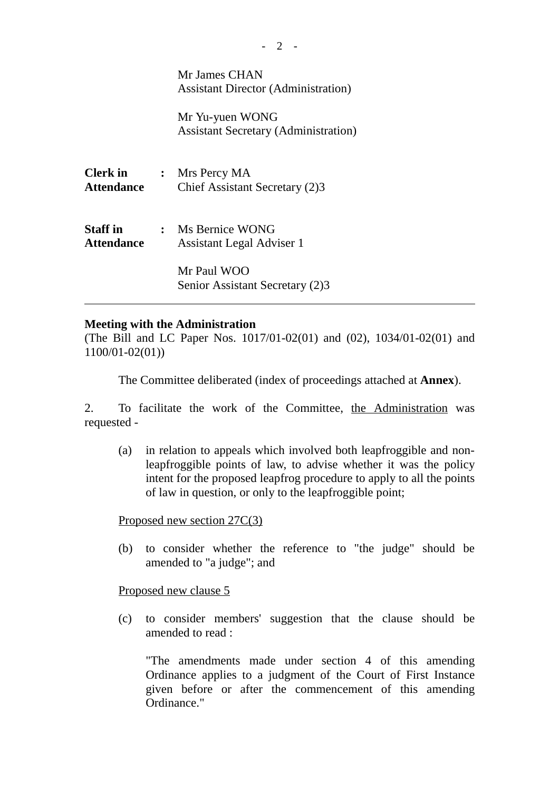|                               | Mr James CHAN<br><b>Assistant Director (Administration)</b>    |
|-------------------------------|----------------------------------------------------------------|
|                               | Mr Yu-yuen WONG<br><b>Assistant Secretary (Administration)</b> |
| <b>Clerk in</b><br>Attendance | $:$ Mrs Percy MA<br>Chief Assistant Secretary (2)3             |
| Staff in<br>Attendance        | : Ms Bernice WONG<br><b>Assistant Legal Adviser 1</b>          |
|                               | Mr Paul WOO<br>Senior Assistant Secretary (2)3                 |

#### **Meeting with the Administration**

(The Bill and LC Paper Nos. 1017/01-02(01) and (02), 1034/01-02(01) and 1100/01-02(01))

The Committee deliberated (index of proceedings attached at **Annex**).

2. To facilitate the work of the Committee, the Administration was requested -

(a) in relation to appeals which involved both leapfroggible and nonleapfroggible points of law, to advise whether it was the policy intent for the proposed leapfrog procedure to apply to all the points of law in question, or only to the leapfroggible point;

Proposed new section 27C(3)

(b) to consider whether the reference to "the judge" should be amended to "a judge"; and

Proposed new clause 5

(c) to consider members' suggestion that the clause should be amended to read :

"The amendments made under section 4 of this amending Ordinance applies to a judgment of the Court of First Instance given before or after the commencement of this amending Ordinance."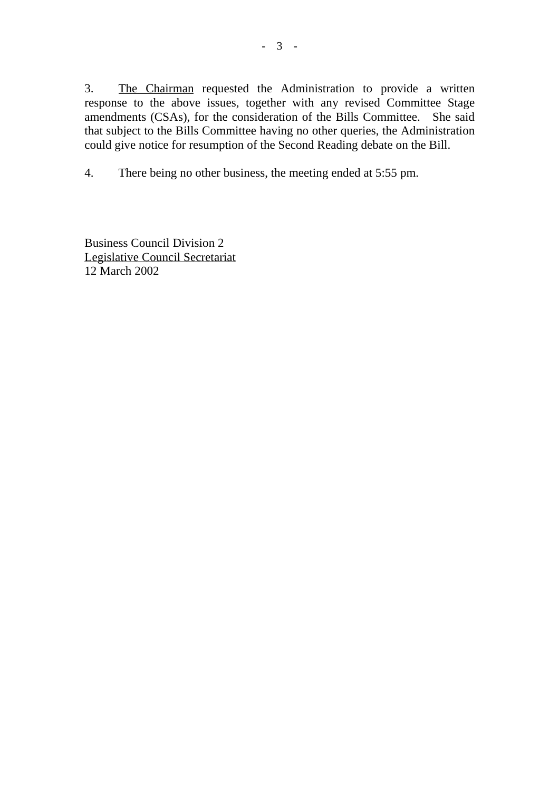3. The Chairman requested the Administration to provide a written response to the above issues, together with any revised Committee Stage amendments (CSAs), for the consideration of the Bills Committee. She said that subject to the Bills Committee having no other queries, the Administration could give notice for resumption of the Second Reading debate on the Bill.

4. There being no other business, the meeting ended at 5:55 pm.

Business Council Division 2 Legislative Council Secretariat 12 March 2002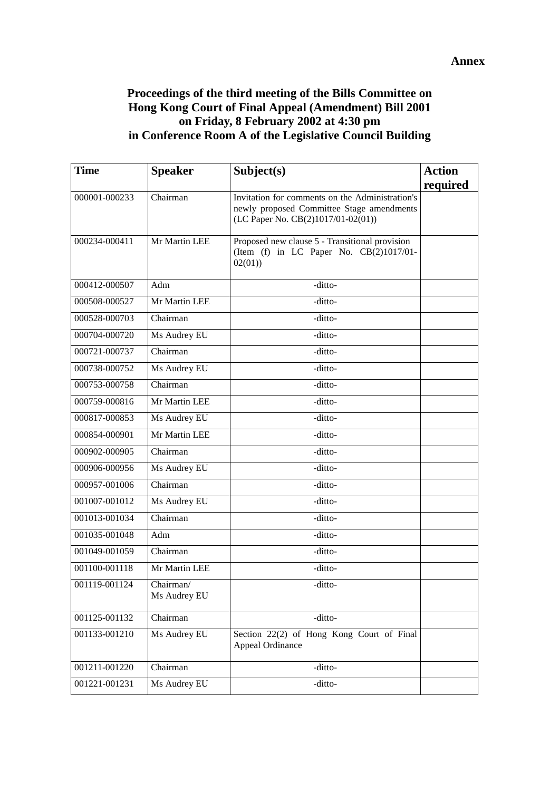## **Proceedings of the third meeting of the Bills Committee on Hong Kong Court of Final Appeal (Amendment) Bill 2001 on Friday, 8 February 2002 at 4:30 pm in Conference Room A of the Legislative Council Building**

| <b>Time</b>   | <b>Speaker</b>            | Subject(s)                                                                                                                         | <b>Action</b> |
|---------------|---------------------------|------------------------------------------------------------------------------------------------------------------------------------|---------------|
|               |                           |                                                                                                                                    | required      |
| 000001-000233 | Chairman                  | Invitation for comments on the Administration's<br>newly proposed Committee Stage amendments<br>(LC Paper No. CB(2)1017/01-02(01)) |               |
| 000234-000411 | Mr Martin LEE             | Proposed new clause 5 - Transitional provision<br>(Item (f) in LC Paper No. $CB(2)1017/01$ -<br>02(01)                             |               |
| 000412-000507 | Adm                       | -ditto-                                                                                                                            |               |
| 000508-000527 | Mr Martin LEE             | -ditto-                                                                                                                            |               |
| 000528-000703 | Chairman                  | -ditto-                                                                                                                            |               |
| 000704-000720 | Ms Audrey EU              | -ditto-                                                                                                                            |               |
| 000721-000737 | Chairman                  | -ditto-                                                                                                                            |               |
| 000738-000752 | Ms Audrey EU              | -ditto-                                                                                                                            |               |
| 000753-000758 | Chairman                  | -ditto-                                                                                                                            |               |
| 000759-000816 | Mr Martin LEE             | -ditto-                                                                                                                            |               |
| 000817-000853 | Ms Audrey EU              | -ditto-                                                                                                                            |               |
| 000854-000901 | Mr Martin LEE             | -ditto-                                                                                                                            |               |
| 000902-000905 | Chairman                  | -ditto-                                                                                                                            |               |
| 000906-000956 | Ms Audrey EU              | -ditto-                                                                                                                            |               |
| 000957-001006 | Chairman                  | -ditto-                                                                                                                            |               |
| 001007-001012 | Ms Audrey EU              | -ditto-                                                                                                                            |               |
| 001013-001034 | Chairman                  | -ditto-                                                                                                                            |               |
| 001035-001048 | Adm                       | -ditto-                                                                                                                            |               |
| 001049-001059 | Chairman                  | -ditto-                                                                                                                            |               |
| 001100-001118 | Mr Martin LEE             | -ditto-                                                                                                                            |               |
| 001119-001124 | Chairman/<br>Ms Audrey EU | -ditto-                                                                                                                            |               |
| 001125-001132 | Chairman                  | -ditto-                                                                                                                            |               |
| 001133-001210 | Ms Audrey EU              | Section 22(2) of Hong Kong Court of Final<br>Appeal Ordinance                                                                      |               |
| 001211-001220 | Chairman                  | -ditto-                                                                                                                            |               |
| 001221-001231 | Ms Audrey EU              | -ditto-                                                                                                                            |               |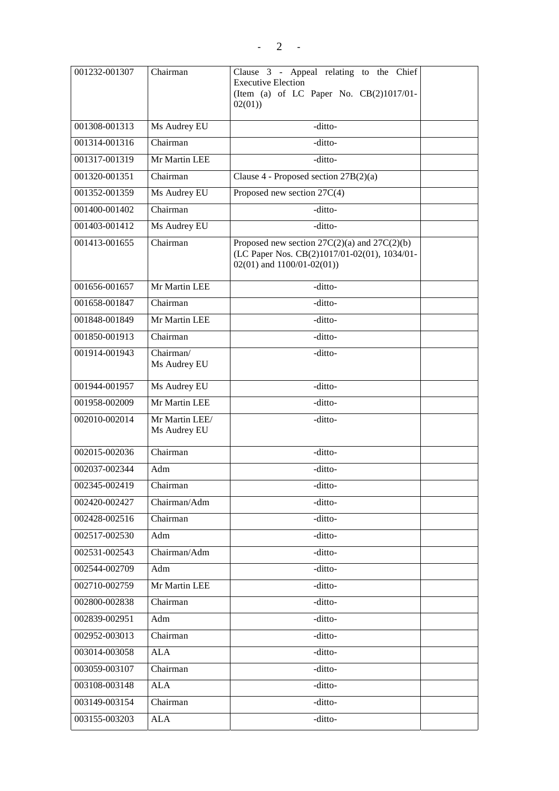| 001232-001307 | Chairman                       | Clause 3 - Appeal relating to the Chief<br><b>Executive Election</b><br>(Item (a) of LC Paper No. CB(2)1017/01-<br>02(01)         |  |
|---------------|--------------------------------|-----------------------------------------------------------------------------------------------------------------------------------|--|
| 001308-001313 | Ms Audrey EU                   | -ditto-                                                                                                                           |  |
| 001314-001316 | Chairman                       | -ditto-                                                                                                                           |  |
| 001317-001319 | Mr Martin LEE                  | -ditto-                                                                                                                           |  |
| 001320-001351 | Chairman                       | Clause 4 - Proposed section $27B(2)(a)$                                                                                           |  |
| 001352-001359 | Ms Audrey EU                   | Proposed new section $27C(4)$                                                                                                     |  |
| 001400-001402 | Chairman                       | -ditto-                                                                                                                           |  |
| 001403-001412 | Ms Audrey EU                   | -ditto-                                                                                                                           |  |
| 001413-001655 | Chairman                       | Proposed new section $27C(2)(a)$ and $27C(2)(b)$<br>(LC Paper Nos. CB(2)1017/01-02(01), 1034/01-<br>$02(01)$ and $1100/01-02(01)$ |  |
| 001656-001657 | Mr Martin LEE                  | -ditto-                                                                                                                           |  |
| 001658-001847 | Chairman                       | -ditto-                                                                                                                           |  |
| 001848-001849 | Mr Martin LEE                  | -ditto-                                                                                                                           |  |
| 001850-001913 | Chairman                       | -ditto-                                                                                                                           |  |
| 001914-001943 | Chairman/<br>Ms Audrey EU      | -ditto-                                                                                                                           |  |
| 001944-001957 | Ms Audrey EU                   | -ditto-                                                                                                                           |  |
| 001958-002009 | Mr Martin LEE                  | -ditto-                                                                                                                           |  |
| 002010-002014 | Mr Martin LEE/<br>Ms Audrey EU | -ditto-                                                                                                                           |  |
| 002015-002036 | Chairman                       | -ditto-                                                                                                                           |  |
| 002037-002344 | Adm                            | -ditto-                                                                                                                           |  |
| 002345-002419 | Chairman                       | -ditto-                                                                                                                           |  |
| 002420-002427 | Chairman/Adm                   | -ditto-                                                                                                                           |  |
| 002428-002516 | Chairman                       | -ditto-                                                                                                                           |  |
| 002517-002530 | Adm                            | -ditto-                                                                                                                           |  |
| 002531-002543 | Chairman/Adm                   | -ditto-                                                                                                                           |  |
| 002544-002709 | Adm                            | -ditto-                                                                                                                           |  |
| 002710-002759 | Mr Martin LEE                  | -ditto-                                                                                                                           |  |
| 002800-002838 | Chairman                       | -ditto-                                                                                                                           |  |
| 002839-002951 | Adm                            | -ditto-                                                                                                                           |  |
| 002952-003013 | Chairman                       | -ditto-                                                                                                                           |  |
| 003014-003058 | ALA                            | -ditto-                                                                                                                           |  |
| 003059-003107 | Chairman                       | -ditto-                                                                                                                           |  |
| 003108-003148 | ALA                            | -ditto-                                                                                                                           |  |
| 003149-003154 | Chairman                       | -ditto-                                                                                                                           |  |
| 003155-003203 | ALA                            | -ditto-                                                                                                                           |  |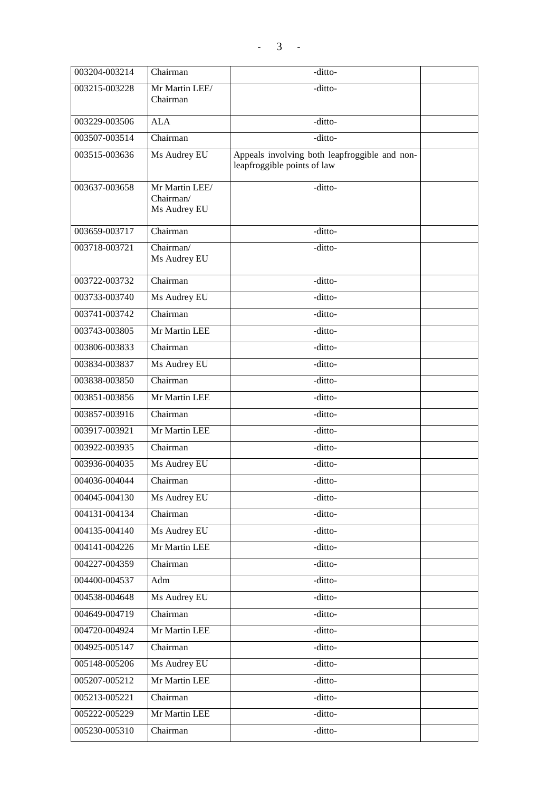| 003204-003214 | Chairman                                    | -ditto-                                                                      |  |
|---------------|---------------------------------------------|------------------------------------------------------------------------------|--|
| 003215-003228 | Mr Martin LEE/<br>Chairman                  | -ditto-                                                                      |  |
| 003229-003506 | <b>ALA</b>                                  | -ditto-                                                                      |  |
| 003507-003514 | Chairman                                    | -ditto-                                                                      |  |
| 003515-003636 | Ms Audrey EU                                | Appeals involving both leapfroggible and non-<br>leapfroggible points of law |  |
| 003637-003658 | Mr Martin LEE/<br>Chairman/<br>Ms Audrey EU | -ditto-                                                                      |  |
| 003659-003717 | Chairman                                    | -ditto-                                                                      |  |
| 003718-003721 | Chairman/<br>Ms Audrey EU                   | -ditto-                                                                      |  |
| 003722-003732 | Chairman                                    | -ditto-                                                                      |  |
| 003733-003740 | Ms Audrey EU                                | -ditto-                                                                      |  |
| 003741-003742 | Chairman                                    | -ditto-                                                                      |  |
| 003743-003805 | Mr Martin LEE                               | -ditto-                                                                      |  |
| 003806-003833 | Chairman                                    | -ditto-                                                                      |  |
| 003834-003837 | Ms Audrey EU                                | -ditto-                                                                      |  |
| 003838-003850 | Chairman                                    | -ditto-                                                                      |  |
| 003851-003856 | Mr Martin LEE                               | $-$ ditto-                                                                   |  |
| 003857-003916 | Chairman                                    | -ditto-                                                                      |  |
| 003917-003921 | Mr Martin LEE                               | -ditto-                                                                      |  |
| 003922-003935 | Chairman                                    | -ditto-                                                                      |  |
| 003936-004035 | Ms Audrey EU                                | -ditto-                                                                      |  |
| 004036-004044 | Chairman                                    | -ditto-                                                                      |  |
| 004045-004130 | Ms Audrey EU                                | -ditto-                                                                      |  |
| 004131-004134 | Chairman                                    | -ditto-                                                                      |  |
| 004135-004140 | Ms Audrey EU                                | -ditto-                                                                      |  |
| 004141-004226 | Mr Martin LEE                               | -ditto-                                                                      |  |
| 004227-004359 | Chairman                                    | -ditto-                                                                      |  |
| 004400-004537 | Adm                                         | -ditto-                                                                      |  |
| 004538-004648 | Ms Audrey EU                                | -ditto-                                                                      |  |
| 004649-004719 | Chairman                                    | -ditto-                                                                      |  |
| 004720-004924 | Mr Martin LEE                               | -ditto-                                                                      |  |
| 004925-005147 | Chairman                                    | -ditto-                                                                      |  |
| 005148-005206 | Ms Audrey EU                                | -ditto-                                                                      |  |
| 005207-005212 | Mr Martin LEE                               | -ditto-                                                                      |  |
| 005213-005221 | Chairman                                    | -ditto-                                                                      |  |
| 005222-005229 | Mr Martin LEE                               | -ditto-                                                                      |  |
| 005230-005310 | Chairman                                    | -ditto-                                                                      |  |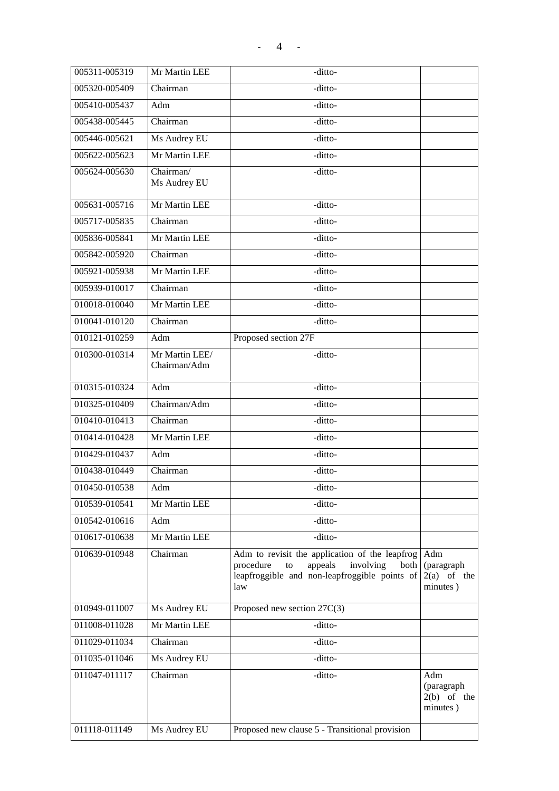| 005311-005319 | Mr Martin LEE                  | -ditto-                                                                                                                                                     |                                                |
|---------------|--------------------------------|-------------------------------------------------------------------------------------------------------------------------------------------------------------|------------------------------------------------|
| 005320-005409 | Chairman                       | -ditto-                                                                                                                                                     |                                                |
| 005410-005437 | Adm                            | -ditto-                                                                                                                                                     |                                                |
| 005438-005445 | Chairman                       | -ditto-                                                                                                                                                     |                                                |
| 005446-005621 | Ms Audrey EU                   | -ditto-                                                                                                                                                     |                                                |
| 005622-005623 | Mr Martin LEE                  | -ditto-                                                                                                                                                     |                                                |
| 005624-005630 | Chairman/<br>Ms Audrey EU      | -ditto-                                                                                                                                                     |                                                |
| 005631-005716 | Mr Martin LEE                  | -ditto-                                                                                                                                                     |                                                |
| 005717-005835 | Chairman                       | -ditto-                                                                                                                                                     |                                                |
| 005836-005841 | Mr Martin LEE                  | -ditto-                                                                                                                                                     |                                                |
| 005842-005920 | Chairman                       | -ditto-                                                                                                                                                     |                                                |
| 005921-005938 | Mr Martin LEE                  | -ditto-                                                                                                                                                     |                                                |
| 005939-010017 | Chairman                       | -ditto-                                                                                                                                                     |                                                |
| 010018-010040 | Mr Martin LEE                  | -ditto-                                                                                                                                                     |                                                |
| 010041-010120 | Chairman                       | -ditto-                                                                                                                                                     |                                                |
| 010121-010259 | Adm                            | Proposed section 27F                                                                                                                                        |                                                |
| 010300-010314 | Mr Martin LEE/<br>Chairman/Adm | -ditto-                                                                                                                                                     |                                                |
| 010315-010324 | Adm                            | -ditto-                                                                                                                                                     |                                                |
| 010325-010409 | Chairman/Adm                   | -ditto-                                                                                                                                                     |                                                |
| 010410-010413 | Chairman                       | -ditto-                                                                                                                                                     |                                                |
| 010414-010428 | Mr Martin LEE                  | -ditto-                                                                                                                                                     |                                                |
| 010429-010437 | Adm                            | -ditto-                                                                                                                                                     |                                                |
| 010438-010449 | Chairman                       | -ditto-                                                                                                                                                     |                                                |
| 010450-010538 | Adm                            | -ditto-                                                                                                                                                     |                                                |
| 010539-010541 | Mr Martin LEE                  | -ditto-                                                                                                                                                     |                                                |
| 010542-010616 | Adm                            | -ditto-                                                                                                                                                     |                                                |
| 010617-010638 | Mr Martin LEE                  | -ditto-                                                                                                                                                     |                                                |
| 010639-010948 | Chairman                       | Adm to revisit the application of the leapfrog<br>procedure<br>appeals<br>involving<br>to<br>both  <br>leapfroggible and non-leapfroggible points of<br>law | Adm<br>(paragraph<br>$2(a)$ of the<br>minutes) |
| 010949-011007 | Ms Audrey EU                   | Proposed new section 27C(3)                                                                                                                                 |                                                |
| 011008-011028 | Mr Martin LEE                  | -ditto-                                                                                                                                                     |                                                |
| 011029-011034 | Chairman                       | -ditto-                                                                                                                                                     |                                                |
| 011035-011046 | Ms Audrey EU                   | -ditto-                                                                                                                                                     |                                                |
| 011047-011117 | Chairman                       | -ditto-                                                                                                                                                     | Adm<br>(paragraph<br>$2(b)$ of the<br>minutes) |
| 011118-011149 | Ms Audrey EU                   | Proposed new clause 5 - Transitional provision                                                                                                              |                                                |